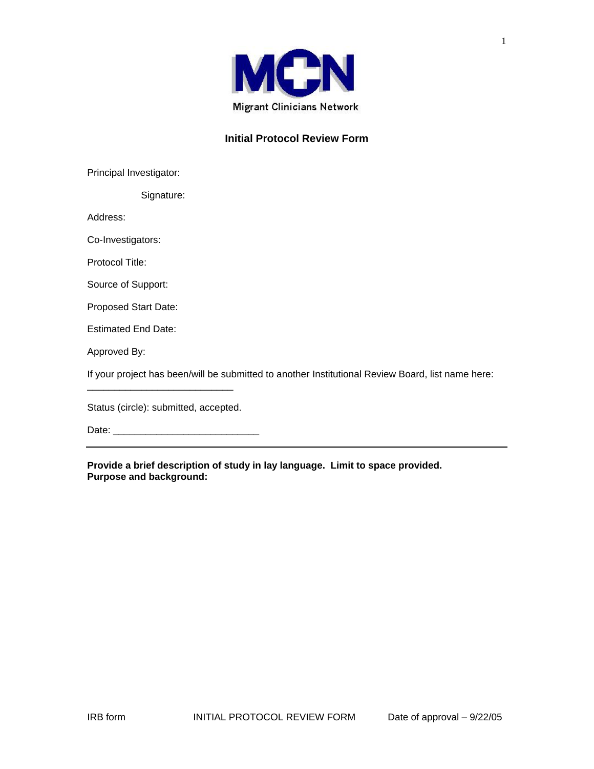

## **Initial Protocol Review Form**

Principal Investigator:

Signature:

Address:

Co-Investigators:

Protocol Title:

Source of Support:

Proposed Start Date:

Estimated End Date:

Approved By:

If your project has been/will be submitted to another Institutional Review Board, list name here:

Status (circle): submitted, accepted.

\_\_\_\_\_\_\_\_\_\_\_\_\_\_\_\_\_\_\_\_\_\_\_\_\_\_\_

Date: \_\_\_\_\_\_\_\_\_\_\_\_\_\_\_\_\_\_\_\_\_\_\_\_\_\_\_

**Provide a brief description of study in lay language. Limit to space provided. Purpose and background:**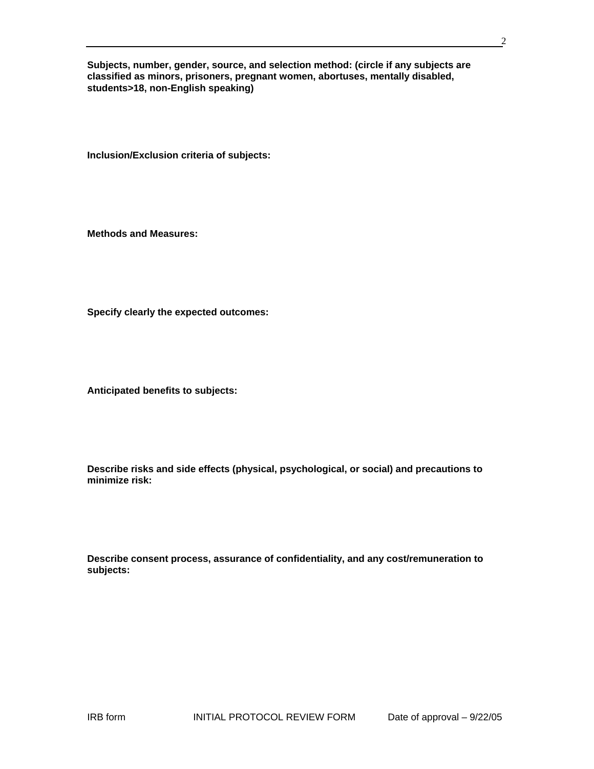**Subjects, number, gender, source, and selection method: (circle if any subjects are classified as minors, prisoners, pregnant women, abortuses, mentally disabled, students>18, non-English speaking)** 

**Inclusion/Exclusion criteria of subjects:** 

**Methods and Measures:** 

**Specify clearly the expected outcomes:** 

**Anticipated benefits to subjects:** 

**Describe risks and side effects (physical, psychological, or social) and precautions to minimize risk:** 

|           | Describe consent process, assurance of confidentiality, and any cost/remuneration to |
|-----------|--------------------------------------------------------------------------------------|
| subjects: |                                                                                      |